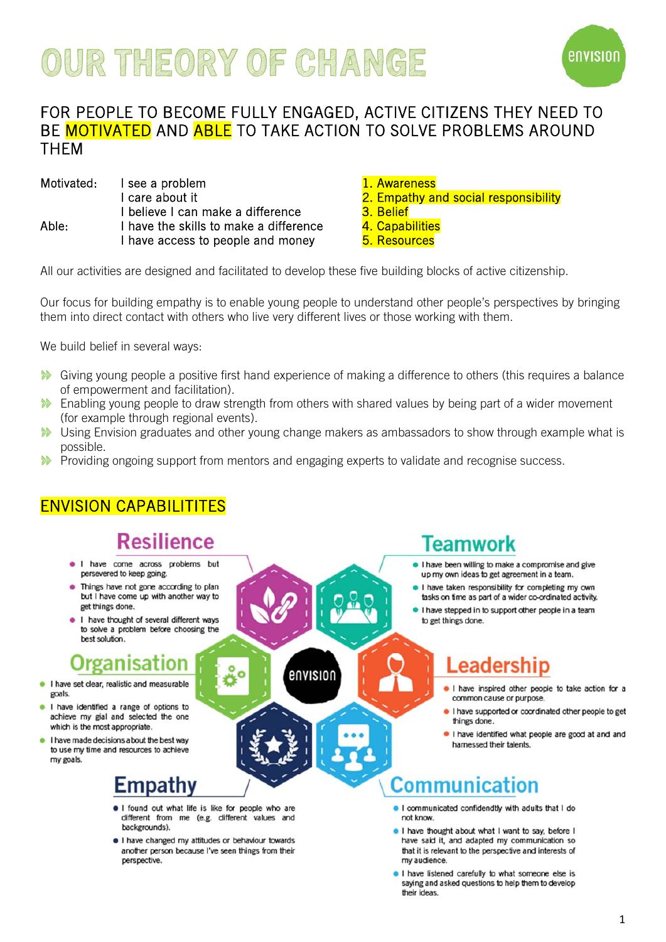# **OUR THEORY OF CHANGE**



#### FOR PEOPLE TO BECOME FULLY ENGAGED, ACTIVE CITIZENS THEY NEED TO BE **MOTIVATED** AND ABLE TO TAKE ACTION TO SOLVE PROBLEMS AROUND **THFM**

|       | Motivated: I see a problem             |
|-------|----------------------------------------|
|       | I care about it                        |
|       | I believe I can make a difference      |
| Able: | I have the skills to make a difference |
|       | I have access to people and money      |

1. Awareness

- 2. Empathy and social responsibility
- 3. Belief
- e: I have the skills to make the sense the sense and the sense  $4.$  Capabilities  $\,$ 
	- **5. Resources**

All our activities are designed and facilitated to develop these five building blocks of active citizenship.

Our focus for building empathy is to enable young people to understand other people's perspectives by bringing them into direct contact with others who live very different lives or those working with them.

We build belief in several ways:

- Giving young people a positive first hand experience of making a difference to others (this requires a balance of empowerment and facilitation).
- Enabling young people to draw strength from others with shared values by being part of a wider movement  $\mathcal{L}$ (for example through regional events).
- **W** Using Envision graduates and other young change makers as ambassadors to show through example what is possible.
- **Providing ongoing support from mentors and engaging experts to validate and recognise success.**

envision

#### ENVISION CAPABILITITES

## **Resilience**

- · I have come across problems but persevered to keep going.
- Things have not gone according to plan but I have come up with another way to get things done.
- I have thought of several different ways to solve a problem before choosing the best solution.

### Organisation

- I have set clear, realistic and measurable goals
- I have identified a range of options to achieve my gial and selected the one which is the most appropriate.
- I have made decisions about the best way to use my time and resources to achieve my goals.

#### Empathy

. I found out what life is like for people who are different from me (e.g. different values and backgrounds).

Ö Ö

. I have changed my attitudes or behaviour towards another person because I've seen things from their perspective.

#### Teamwork

- . I have been willing to make a compromise and give up my own ideas to get agreement in a team.
- . I have taken responsibility for completing my own tasks on time as part of a wider co-ordinated activity.
- I have stepped in to support other people in a team to get things done.

# .eadership

- I have inspired other people to take action for a common cause or purpose.
- I have supported or coordinated other people to get things done.
- I have identified what people are good at and and hamessed their talents.

## **Communication**

- . I communicated confidendtly with adults that I do not know.
- I have thought about what I want to say, before I have said it, and adapted my communication so that it is relevant to the perspective and interests of my audience.
- . I have listened carefully to what someone else is saying and asked questions to help them to develop their ideas.